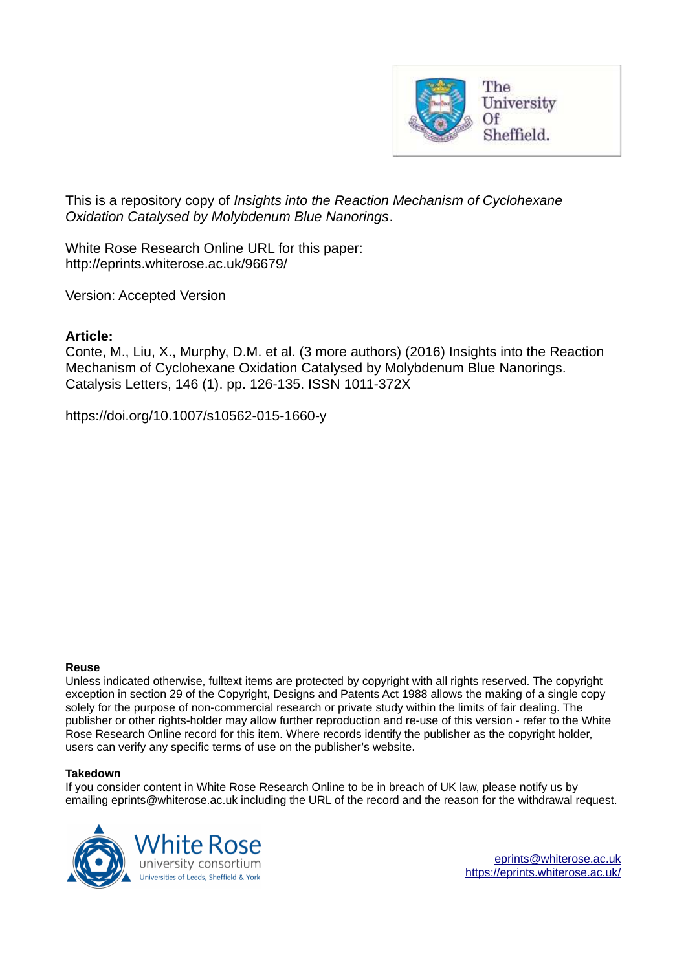

This is a repository copy of *Insights into the Reaction Mechanism of Cyclohexane Oxidation Catalysed by Molybdenum Blue Nanorings*.

White Rose Research Online URL for this paper: http://eprints.whiterose.ac.uk/96679/

Version: Accepted Version

# **Article:**

Conte, M., Liu, X., Murphy, D.M. et al. (3 more authors) (2016) Insights into the Reaction Mechanism of Cyclohexane Oxidation Catalysed by Molybdenum Blue Nanorings. Catalysis Letters, 146 (1). pp. 126-135. ISSN 1011-372X

https://doi.org/10.1007/s10562-015-1660-y

#### **Reuse**

Unless indicated otherwise, fulltext items are protected by copyright with all rights reserved. The copyright exception in section 29 of the Copyright, Designs and Patents Act 1988 allows the making of a single copy solely for the purpose of non-commercial research or private study within the limits of fair dealing. The publisher or other rights-holder may allow further reproduction and re-use of this version - refer to the White Rose Research Online record for this item. Where records identify the publisher as the copyright holder, users can verify any specific terms of use on the publisher's website.

#### **Takedown**

If you consider content in White Rose Research Online to be in breach of UK law, please notify us by emailing eprints@whiterose.ac.uk including the URL of the record and the reason for the withdrawal request.

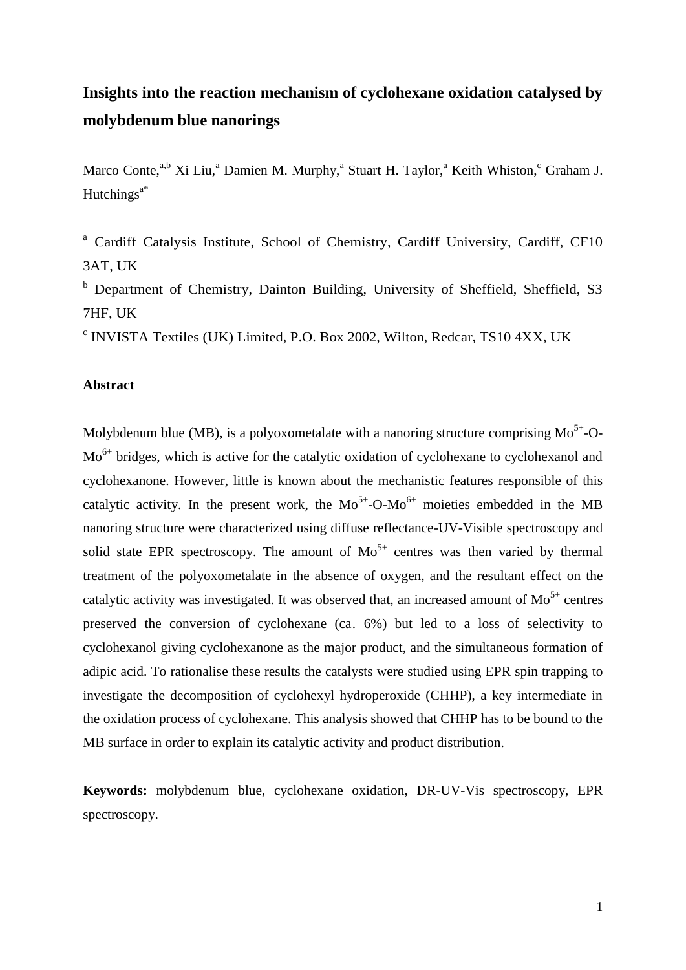# **Insights into the reaction mechanism of cyclohexane oxidation catalysed by molybdenum blue nanorings**

Marco Conte,<sup>a,b</sup> Xi Liu,<sup>a</sup> Damien M. Murphy,<sup>a</sup> Stuart H. Taylor,<sup>a</sup> Keith Whiston,<sup>c</sup> Graham J. Hutchings $a^*$ 

<sup>a</sup> Cardiff Catalysis Institute, School of Chemistry, Cardiff University, Cardiff, CF10 3AT, UK

**b** Department of Chemistry, Dainton Building, University of Sheffield, Sheffield, S3 7HF, UK

c INVISTA Textiles (UK) Limited, P.O. Box 2002, Wilton, Redcar, TS10 4XX, UK

# **Abstract**

Molybdenum blue (MB), is a polyoxometalate with a nanoring structure comprising  $Mo^{5+}O$ -Mo<sup>6+</sup> bridges, which is active for the catalytic oxidation of cyclohexane to cyclohexanol and cyclohexanone. However, little is known about the mechanistic features responsible of this catalytic activity. In the present work, the  $Mo^{5+}-O-Mo^{6+}$  moieties embedded in the MB nanoring structure were characterized using diffuse reflectance-UV-Visible spectroscopy and solid state EPR spectroscopy. The amount of  $Mo^{5+}$  centres was then varied by thermal treatment of the polyoxometalate in the absence of oxygen, and the resultant effect on the catalytic activity was investigated. It was observed that, an increased amount of  $Mo^{5+}$  centres preserved the conversion of cyclohexane (ca. 6%) but led to a loss of selectivity to cyclohexanol giving cyclohexanone as the major product, and the simultaneous formation of adipic acid. To rationalise these results the catalysts were studied using EPR spin trapping to investigate the decomposition of cyclohexyl hydroperoxide (CHHP), a key intermediate in the oxidation process of cyclohexane. This analysis showed that CHHP has to be bound to the MB surface in order to explain its catalytic activity and product distribution.

**Keywords:** molybdenum blue, cyclohexane oxidation, DR-UV-Vis spectroscopy, EPR spectroscopy.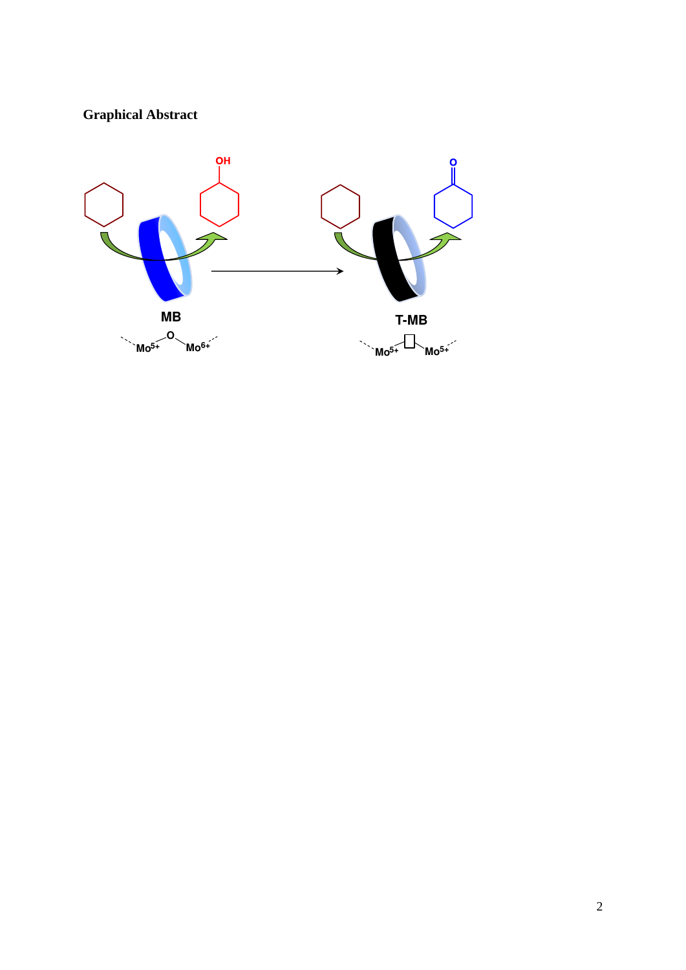# **Graphical Abstract**

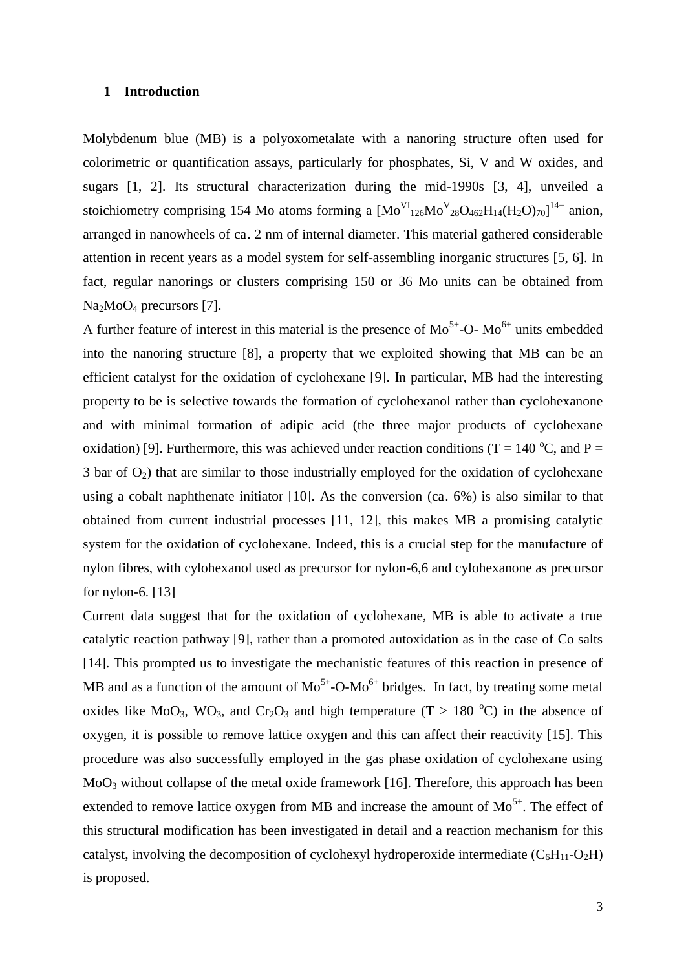#### **1 Introduction**

Molybdenum blue (MB) is a polyoxometalate with a nanoring structure often used for colorimetric or quantification assays, particularly for phosphates, Si, V and W oxides, and sugars [1, 2]. Its structural characterization during the mid-1990s [3, 4], unveiled a stoichiometry comprising 154 Mo atoms forming a  $[Mo_{126}^{VI}Mo_{28}^{V}O_{462}H_{14}(H_2O)_{70}]^{14}$  anion, arranged in nanowheels of ca. 2 nm of internal diameter. This material gathered considerable attention in recent years as a model system for self-assembling inorganic structures [5, 6]. In fact, regular nanorings or clusters comprising 150 or 36 Mo units can be obtained from Na<sub>2</sub>MoO<sub>4</sub> precursors [7].

A further feature of interest in this material is the presence of  $Mo^{5+}-O-Mo^{6+}$  units embedded into the nanoring structure [8], a property that we exploited showing that MB can be an efficient catalyst for the oxidation of cyclohexane [9]. In particular, MB had the interesting property to be is selective towards the formation of cyclohexanol rather than cyclohexanone and with minimal formation of adipic acid (the three major products of cyclohexane oxidation) [9]. Furthermore, this was achieved under reaction conditions (T = 140 °C, and P = 3 bar of  $O_2$ ) that are similar to those industrially employed for the oxidation of cyclohexane using a cobalt naphthenate initiator [10]. As the conversion (ca. 6%) is also similar to that obtained from current industrial processes [11, 12], this makes MB a promising catalytic system for the oxidation of cyclohexane. Indeed, this is a crucial step for the manufacture of nylon fibres, with cylohexanol used as precursor for nylon-6,6 and cylohexanone as precursor for nylon-6. [13]

Current data suggest that for the oxidation of cyclohexane, MB is able to activate a true catalytic reaction pathway [9], rather than a promoted autoxidation as in the case of Co salts [14]. This prompted us to investigate the mechanistic features of this reaction in presence of MB and as a function of the amount of  $Mo^{5+}-O-Mo^{6+}$  bridges. In fact, by treating some metal oxides like MoO<sub>3</sub>, WO<sub>3</sub>, and Cr<sub>2</sub>O<sub>3</sub> and high temperature (T > 180 °C) in the absence of oxygen, it is possible to remove lattice oxygen and this can affect their reactivity [15]. This procedure was also successfully employed in the gas phase oxidation of cyclohexane using  $MoO<sub>3</sub>$  without collapse of the metal oxide framework [16]. Therefore, this approach has been extended to remove lattice oxygen from MB and increase the amount of  $Mo^{5+}$ . The effect of this structural modification has been investigated in detail and a reaction mechanism for this catalyst, involving the decomposition of cyclohexyl hydroperoxide intermediate  $(C_6H_{11}-O_2H)$ is proposed.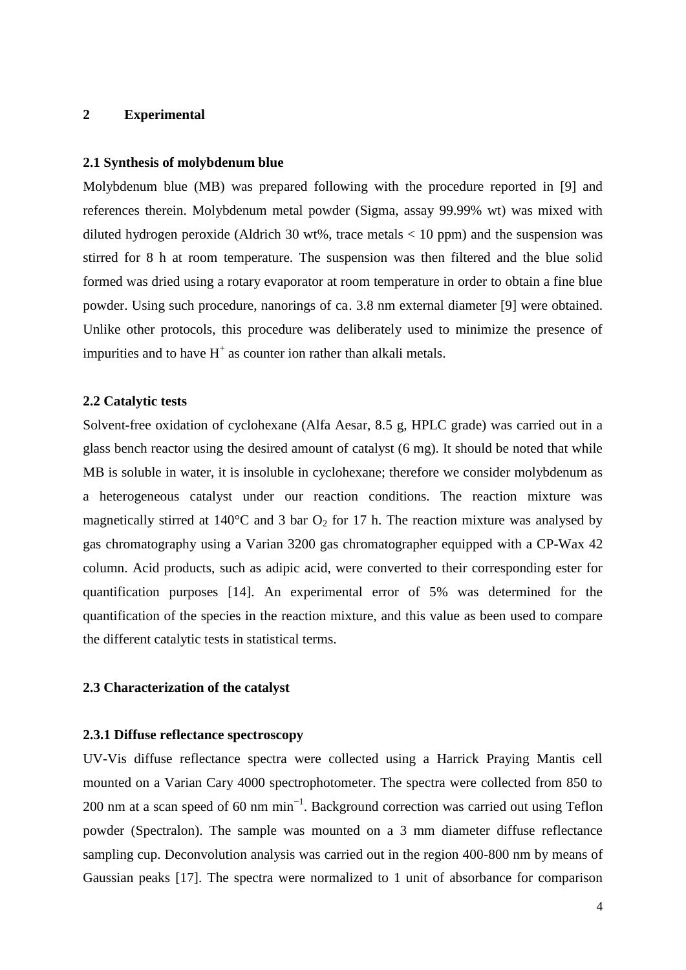# **2 Experimental**

## **2.1 Synthesis of molybdenum blue**

Molybdenum blue (MB) was prepared following with the procedure reported in [9] and references therein. Molybdenum metal powder (Sigma, assay 99.99% wt) was mixed with diluted hydrogen peroxide (Aldrich 30 wt%, trace metals  $< 10$  ppm) and the suspension was stirred for 8 h at room temperature. The suspension was then filtered and the blue solid formed was dried using a rotary evaporator at room temperature in order to obtain a fine blue powder. Using such procedure, nanorings of ca. 3.8 nm external diameter [9] were obtained. Unlike other protocols, this procedure was deliberately used to minimize the presence of impurities and to have  $H^+$  as counter ion rather than alkali metals.

#### **2.2 Catalytic tests**

Solvent-free oxidation of cyclohexane (Alfa Aesar, 8.5 g, HPLC grade) was carried out in a glass bench reactor using the desired amount of catalyst (6 mg). It should be noted that while MB is soluble in water, it is insoluble in cyclohexane; therefore we consider molybdenum as a heterogeneous catalyst under our reaction conditions. The reaction mixture was magnetically stirred at  $140^{\circ}$ C and 3 bar  $O_2$  for 17 h. The reaction mixture was analysed by gas chromatography using a Varian 3200 gas chromatographer equipped with a CP-Wax 42 column. Acid products, such as adipic acid, were converted to their corresponding ester for quantification purposes [14]. An experimental error of 5% was determined for the quantification of the species in the reaction mixture, and this value as been used to compare the different catalytic tests in statistical terms.

# **2.3 Characterization of the catalyst**

## **2.3.1 Diffuse reflectance spectroscopy**

UV-Vis diffuse reflectance spectra were collected using a Harrick Praying Mantis cell mounted on a Varian Cary 4000 spectrophotometer. The spectra were collected from 850 to 200 nm at a scan speed of 60 nm  $min^{-1}$ . Background correction was carried out using Teflon powder (Spectralon). The sample was mounted on a 3 mm diameter diffuse reflectance sampling cup. Deconvolution analysis was carried out in the region 400-800 nm by means of Gaussian peaks [17]. The spectra were normalized to 1 unit of absorbance for comparison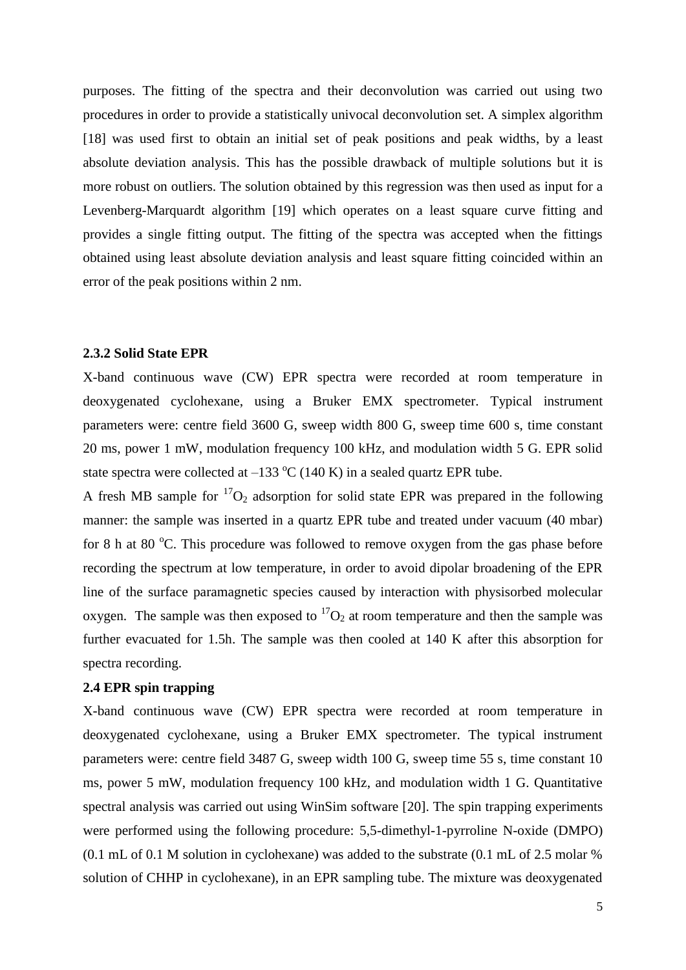purposes. The fitting of the spectra and their deconvolution was carried out using two procedures in order to provide a statistically univocal deconvolution set. A simplex algorithm [18] was used first to obtain an initial set of peak positions and peak widths, by a least absolute deviation analysis. This has the possible drawback of multiple solutions but it is more robust on outliers. The solution obtained by this regression was then used as input for a Levenberg-Marquardt algorithm [19] which operates on a least square curve fitting and provides a single fitting output. The fitting of the spectra was accepted when the fittings obtained using least absolute deviation analysis and least square fitting coincided within an error of the peak positions within 2 nm.

#### **2.3.2 Solid State EPR**

X-band continuous wave (CW) EPR spectra were recorded at room temperature in deoxygenated cyclohexane, using a Bruker EMX spectrometer. Typical instrument parameters were: centre field 3600 G, sweep width 800 G, sweep time 600 s, time constant 20 ms, power 1 mW, modulation frequency 100 kHz, and modulation width 5 G. EPR solid state spectra were collected at  $-133 \text{ °C}$  (140 K) in a sealed quartz EPR tube.

A fresh MB sample for  ${}^{17}O_2$  adsorption for solid state EPR was prepared in the following manner: the sample was inserted in a quartz EPR tube and treated under vacuum (40 mbar) for 8 h at 80  $^{\circ}$ C. This procedure was followed to remove oxygen from the gas phase before recording the spectrum at low temperature, in order to avoid dipolar broadening of the EPR line of the surface paramagnetic species caused by interaction with physisorbed molecular oxygen. The sample was then exposed to  ${}^{17}O_2$  at room temperature and then the sample was further evacuated for 1.5h. The sample was then cooled at 140 K after this absorption for spectra recording.

## **2.4 EPR spin trapping**

X-band continuous wave (CW) EPR spectra were recorded at room temperature in deoxygenated cyclohexane, using a Bruker EMX spectrometer. The typical instrument parameters were: centre field 3487 G, sweep width 100 G, sweep time 55 s, time constant 10 ms, power 5 mW, modulation frequency 100 kHz, and modulation width 1 G. Quantitative spectral analysis was carried out using WinSim software [20]. The spin trapping experiments were performed using the following procedure: 5,5-dimethyl-1-pyrroline N-oxide (DMPO) (0.1 mL of 0.1 M solution in cyclohexane) was added to the substrate (0.1 mL of 2.5 molar % solution of CHHP in cyclohexane), in an EPR sampling tube. The mixture was deoxygenated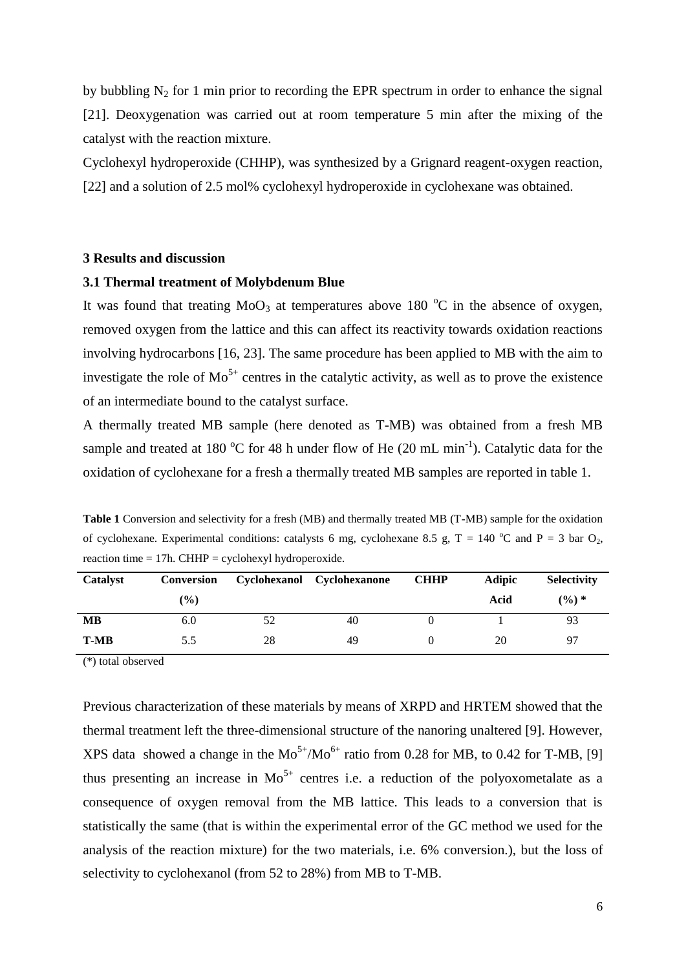by bubbling  $N_2$  for 1 min prior to recording the EPR spectrum in order to enhance the signal [21]. Deoxygenation was carried out at room temperature 5 min after the mixing of the catalyst with the reaction mixture.

Cyclohexyl hydroperoxide (CHHP), was synthesized by a Grignard reagent-oxygen reaction, [22] and a solution of 2.5 mol% cyclohexyl hydroperoxide in cyclohexane was obtained.

#### **3 Results and discussion**

#### **3.1 Thermal treatment of Molybdenum Blue**

It was found that treating  $MoO<sub>3</sub>$  at temperatures above 180  $^{\circ}C$  in the absence of oxygen, removed oxygen from the lattice and this can affect its reactivity towards oxidation reactions involving hydrocarbons [16, 23]. The same procedure has been applied to MB with the aim to investigate the role of  $Mo^{5+}$  centres in the catalytic activity, as well as to prove the existence of an intermediate bound to the catalyst surface.

A thermally treated MB sample (here denoted as T-MB) was obtained from a fresh MB sample and treated at 180 °C for 48 h under flow of He (20 mL min<sup>-1</sup>). Catalytic data for the oxidation of cyclohexane for a fresh a thermally treated MB samples are reported in table 1.

**Table 1** Conversion and selectivity for a fresh (MB) and thermally treated MB (T-MB) sample for the oxidation of cyclohexane. Experimental conditions: catalysts 6 mg, cyclohexane 8.5 g, T = 140 °C and P = 3 bar  $O_2$ , reaction time  $= 17h$ . CHHP  $=$  cyclohexyl hydroperoxide.

| <b>Catalyst</b> | <b>Conversion</b> |    | Cyclohexanol Cyclohexanone | <b>CHHP</b> | <b>Adipic</b> | <b>Selectivity</b> |
|-----------------|-------------------|----|----------------------------|-------------|---------------|--------------------|
|                 | $\frac{9}{6}$     |    |                            |             | Acid          | $(\frac{9}{6})$ *  |
| MВ              | 6.0               | 52 | 40                         |             |               | 93                 |
| <b>T-MB</b>     | 5.5               | 28 | 49                         |             | 20            | 97                 |

(\*) total observed

Previous characterization of these materials by means of XRPD and HRTEM showed that the thermal treatment left the three-dimensional structure of the nanoring unaltered [9]. However, XPS data showed a change in the  $Mo^{5+}/Mo^{6+}$  ratio from 0.28 for MB, to 0.42 for T-MB, [9] thus presenting an increase in  $Mo^{5+}$  centres i.e. a reduction of the polyoxometalate as a consequence of oxygen removal from the MB lattice. This leads to a conversion that is statistically the same (that is within the experimental error of the GC method we used for the analysis of the reaction mixture) for the two materials, i.e. 6% conversion.), but the loss of selectivity to cyclohexanol (from 52 to 28%) from MB to T-MB.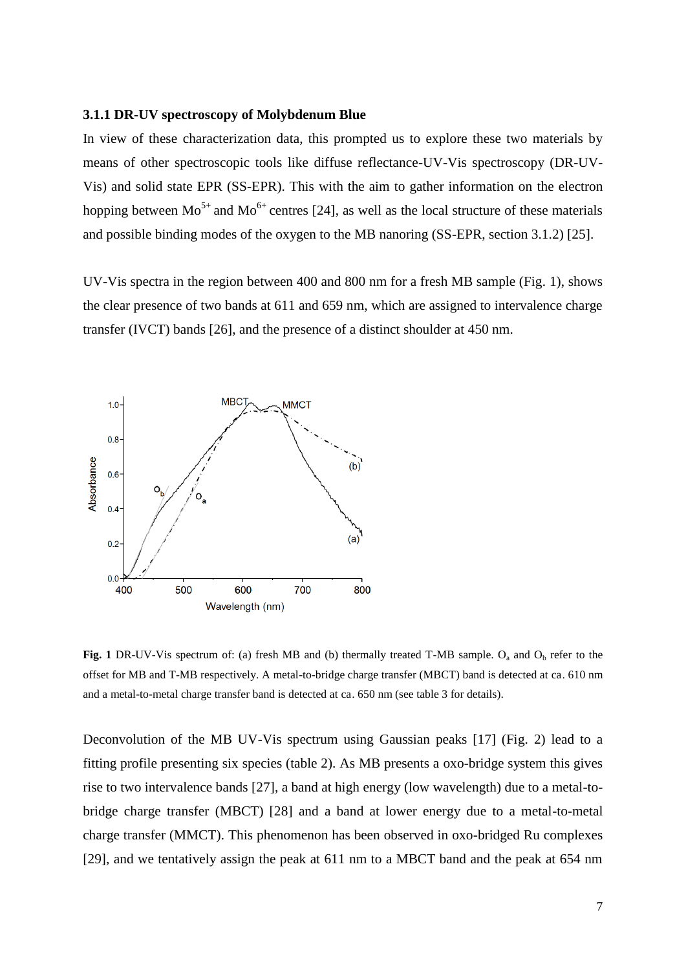## **3.1.1 DR-UV spectroscopy of Molybdenum Blue**

In view of these characterization data, this prompted us to explore these two materials by means of other spectroscopic tools like diffuse reflectance-UV-Vis spectroscopy (DR-UV-Vis) and solid state EPR (SS-EPR). This with the aim to gather information on the electron hopping between  $Mo^{5+}$  and  $Mo^{6+}$  centres [24], as well as the local structure of these materials and possible binding modes of the oxygen to the MB nanoring (SS-EPR, section 3.1.2) [25].

UV-Vis spectra in the region between 400 and 800 nm for a fresh MB sample (Fig. 1), shows the clear presence of two bands at 611 and 659 nm, which are assigned to intervalence charge transfer (IVCT) bands [26], and the presence of a distinct shoulder at 450 nm.



**Fig. 1** DR-UV-Vis spectrum of: (a) fresh MB and (b) thermally treated T-MB sample.  $O_a$  and  $O_b$  refer to the offset for MB and T-MB respectively. A metal-to-bridge charge transfer (MBCT) band is detected at ca. 610 nm and a metal-to-metal charge transfer band is detected at ca. 650 nm (see table 3 for details).

Deconvolution of the MB UV-Vis spectrum using Gaussian peaks [17] (Fig. 2) lead to a fitting profile presenting six species (table 2). As MB presents a oxo-bridge system this gives rise to two intervalence bands [27], a band at high energy (low wavelength) due to a metal-tobridge charge transfer (MBCT) [28] and a band at lower energy due to a metal-to-metal charge transfer (MMCT). This phenomenon has been observed in oxo-bridged Ru complexes [29], and we tentatively assign the peak at 611 nm to a MBCT band and the peak at 654 nm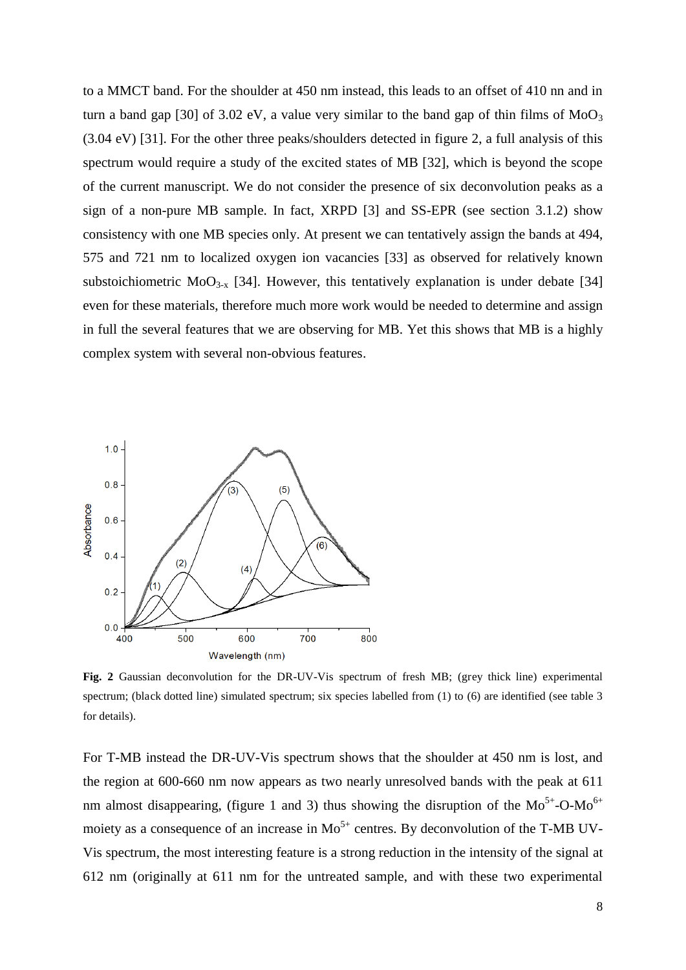to a MMCT band. For the shoulder at 450 nm instead, this leads to an offset of 410 nn and in turn a band gap [30] of 3.02 eV, a value very similar to the band gap of thin films of  $MoO<sub>3</sub>$ (3.04 eV) [31]. For the other three peaks/shoulders detected in figure 2, a full analysis of this spectrum would require a study of the excited states of MB [32], which is beyond the scope of the current manuscript. We do not consider the presence of six deconvolution peaks as a sign of a non-pure MB sample. In fact, XRPD [3] and SS-EPR (see section 3.1.2) show consistency with one MB species only. At present we can tentatively assign the bands at 494, 575 and 721 nm to localized oxygen ion vacancies [33] as observed for relatively known substoichiometric  $MoO<sub>3-x</sub>$  [34]. However, this tentatively explanation is under debate [34] even for these materials, therefore much more work would be needed to determine and assign in full the several features that we are observing for MB. Yet this shows that MB is a highly complex system with several non-obvious features.



**Fig. 2** Gaussian deconvolution for the DR-UV-Vis spectrum of fresh MB; (grey thick line) experimental spectrum; (black dotted line) simulated spectrum; six species labelled from (1) to (6) are identified (see table 3 for details).

For T-MB instead the DR-UV-Vis spectrum shows that the shoulder at 450 nm is lost, and the region at 600-660 nm now appears as two nearly unresolved bands with the peak at 611 nm almost disappearing, (figure 1 and 3) thus showing the disruption of the  $Mo^{5+}-O-Mo^{6+}$ moiety as a consequence of an increase in  $Mo^{5+}$  centres. By deconvolution of the T-MB UV-Vis spectrum, the most interesting feature is a strong reduction in the intensity of the signal at 612 nm (originally at 611 nm for the untreated sample, and with these two experimental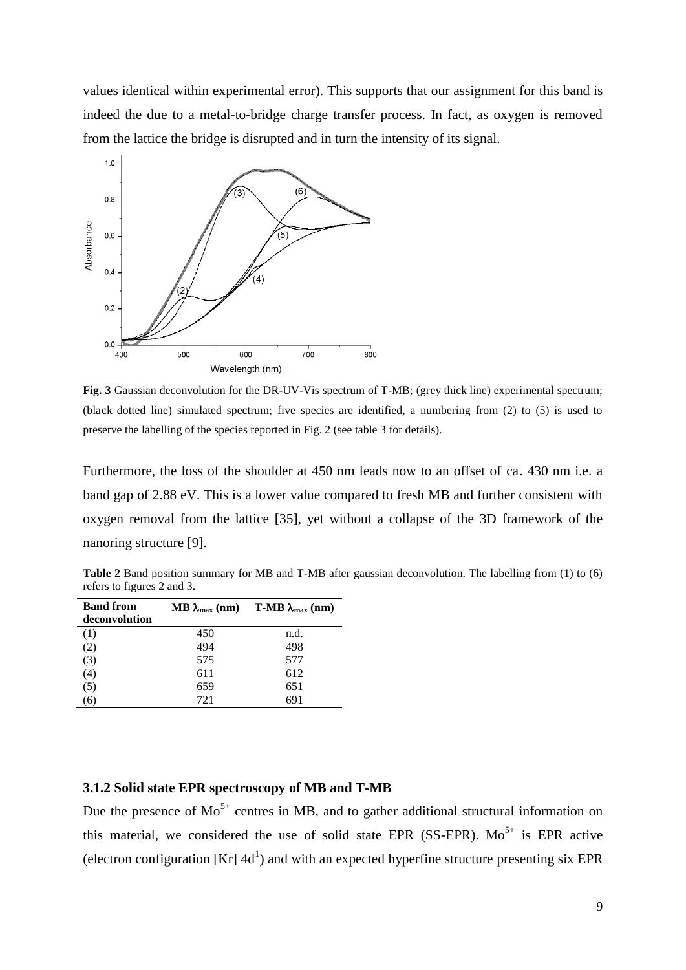values identical within experimental error). This supports that our assignment for this band is indeed the due to a metal-to-bridge charge transfer process. In fact, as oxygen is removed from the lattice the bridge is disrupted and in turn the intensity of its signal.



**Fig. 3** Gaussian deconvolution for the DR-UV-Vis spectrum of T-MB; (grey thick line) experimental spectrum; (black dotted line) simulated spectrum; five species are identified, a numbering from (2) to (5) is used to preserve the labelling of the species reported in Fig. 2 (see table 3 for details).

Furthermore, the loss of the shoulder at 450 nm leads now to an offset of ca. 430 nm i.e. a band gap of 2.88 eV. This is a lower value compared to fresh MB and further consistent with oxygen removal from the lattice [35], yet without a collapse of the 3D framework of the nanoring structure [9].

**Table 2** Band position summary for MB and T-MB after gaussian deconvolution. The labelling from (1) to (6) refers to figures 2 and 3.

| <b>Band from</b><br>deconvolution |     | MB $\lambda_{\text{max}}$ (nm) T-MB $\lambda_{\text{max}}$ (nm) |
|-----------------------------------|-----|-----------------------------------------------------------------|
| (1)                               | 450 | n.d.                                                            |
| (2)                               | 494 | 498                                                             |
| (3)                               | 575 | 577                                                             |
| (4)                               | 611 | 612                                                             |
| (5)                               | 659 | 651                                                             |
| ٠о.                               | 721 | 691                                                             |

# **3.1.2 Solid state EPR spectroscopy of MB and T-MB**

Due the presence of  $Mo^{5+}$  centres in MB, and to gather additional structural information on this material, we considered the use of solid state EPR (SS-EPR).  $Mo^{5+}$  is EPR active (electron configuration  $[Kr]$  4d<sup>1</sup>) and with an expected hyperfine structure presenting six EPR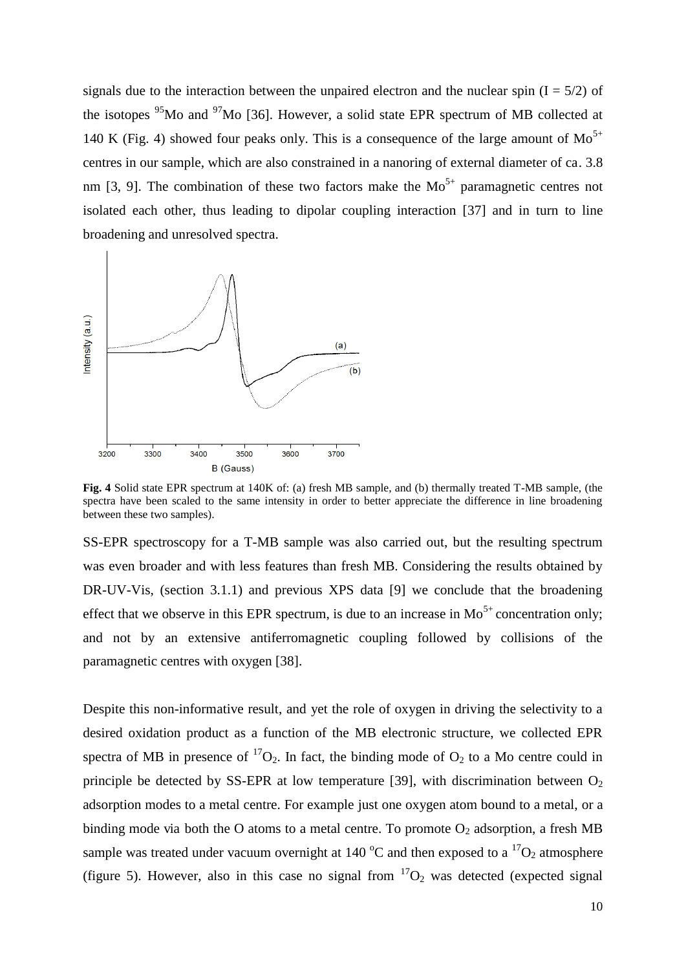signals due to the interaction between the unpaired electron and the nuclear spin  $(I = 5/2)$  of the isotopes  $95$ Mo and  $97$ Mo [36]. However, a solid state EPR spectrum of MB collected at 140 K (Fig. 4) showed four peaks only. This is a consequence of the large amount of  $Mo^{5+}$ centres in our sample, which are also constrained in a nanoring of external diameter of ca. 3.8 nm [3, 9]. The combination of these two factors make the  $Mo<sup>5+</sup>$  paramagnetic centres not isolated each other, thus leading to dipolar coupling interaction [37] and in turn to line broadening and unresolved spectra.



**Fig. 4** Solid state EPR spectrum at 140K of: (a) fresh MB sample, and (b) thermally treated T-MB sample, (the spectra have been scaled to the same intensity in order to better appreciate the difference in line broadening between these two samples).

SS-EPR spectroscopy for a T-MB sample was also carried out, but the resulting spectrum was even broader and with less features than fresh MB. Considering the results obtained by DR-UV-Vis, (section 3.1.1) and previous XPS data [9] we conclude that the broadening effect that we observe in this EPR spectrum, is due to an increase in  $Mo^{5+}$  concentration only; and not by an extensive antiferromagnetic coupling followed by collisions of the paramagnetic centres with oxygen [38].

Despite this non-informative result, and yet the role of oxygen in driving the selectivity to a desired oxidation product as a function of the MB electronic structure, we collected EPR spectra of MB in presence of  ${}^{17}O_2$ . In fact, the binding mode of  $O_2$  to a Mo centre could in principle be detected by SS-EPR at low temperature [39], with discrimination between  $O_2$ adsorption modes to a metal centre. For example just one oxygen atom bound to a metal, or a binding mode via both the O atoms to a metal centre. To promote  $O_2$  adsorption, a fresh MB sample was treated under vacuum overnight at 140  $^{\circ}$ C and then exposed to a  $^{17}O_2$  atmosphere (figure 5). However, also in this case no signal from  ${}^{17}O_2$  was detected (expected signal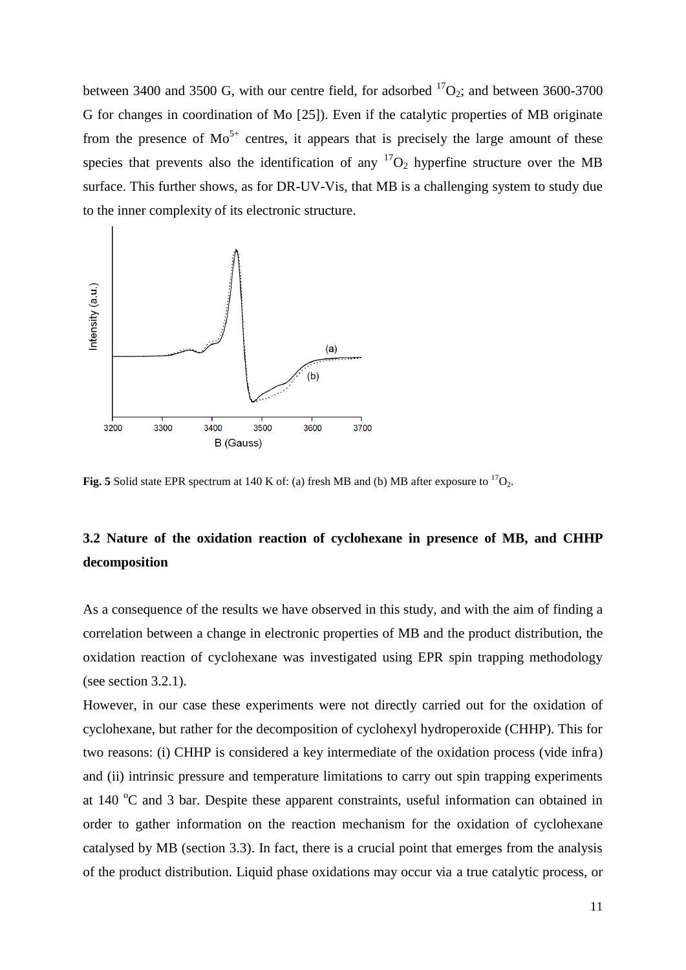between 3400 and 3500 G, with our centre field, for adsorbed  ${}^{17}O_2$ ; and between 3600-3700 G for changes in coordination of Mo [25]). Even if the catalytic properties of MB originate from the presence of  $Mo^{5+}$  centres, it appears that is precisely the large amount of these species that prevents also the identification of any  ${}^{17}O_2$  hyperfine structure over the MB surface. This further shows, as for DR-UV-Vis, that MB is a challenging system to study due to the inner complexity of its electronic structure.



**Fig. 5** Solid state EPR spectrum at 140 K of: (a) fresh MB and (b) MB after exposure to  ${}^{17}O_2$ .

# **3.2 Nature of the oxidation reaction of cyclohexane in presence of MB, and CHHP decomposition**

As a consequence of the results we have observed in this study, and with the aim of finding a correlation between a change in electronic properties of MB and the product distribution, the oxidation reaction of cyclohexane was investigated using EPR spin trapping methodology (see section 3.2.1).

However, in our case these experiments were not directly carried out for the oxidation of cyclohexane, but rather for the decomposition of cyclohexyl hydroperoxide (CHHP). This for two reasons: (i) CHHP is considered a key intermediate of the oxidation process (vide infra) and (ii) intrinsic pressure and temperature limitations to carry out spin trapping experiments at  $140^{\circ}$ C and 3 bar. Despite these apparent constraints, useful information can obtained in order to gather information on the reaction mechanism for the oxidation of cyclohexane catalysed by MB (section 3.3). In fact, there is a crucial point that emerges from the analysis of the product distribution. Liquid phase oxidations may occur via a true catalytic process, or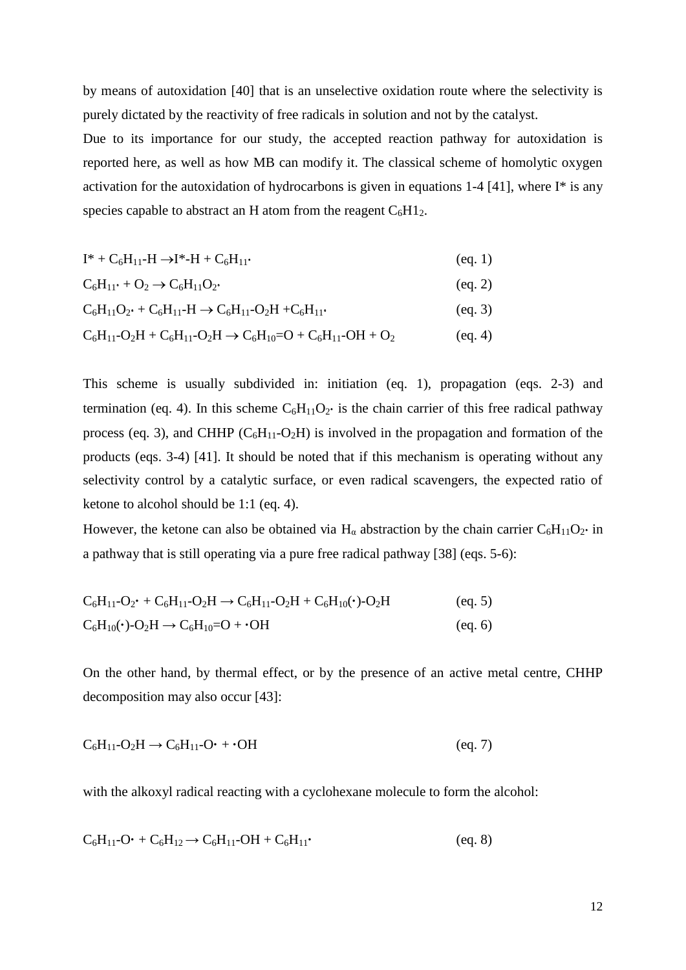by means of autoxidation [40] that is an unselective oxidation route where the selectivity is purely dictated by the reactivity of free radicals in solution and not by the catalyst.

Due to its importance for our study, the accepted reaction pathway for autoxidation is reported here, as well as how MB can modify it. The classical scheme of homolytic oxygen activation for the autoxidation of hydrocarbons is given in equations 1-4 [41], where  $I^*$  is any species capable to abstract an H atom from the reagent  $C_6H1_2$ .

$$
I^* + C_6H_{11} - H \to I^* - H + C_6H_{11} \tag{eq. 1}
$$

$$
C_6H_{11} + O_2 \rightarrow C_6H_{11}O_2 \qquad (eq. 2)
$$

$$
C_6H_{11}O_2 \cdot + C_6H_{11} - H \to C_6H_{11} - O_2H + C_6H_{11} \cdot \tag{eq. 3}
$$

 $C_6H_{11}$ -O<sub>2</sub>H +  $C_6H_{11}$ -O<sub>2</sub>H  $\rightarrow$   $C_6H_{10}$ =O +  $C_6H_{11}$ -OH + O<sub>2</sub> (eq. 4)

This scheme is usually subdivided in: initiation (eq. 1), propagation (eqs. 2-3) and termination (eq. 4). In this scheme  $C_6H_{11}O_2$  is the chain carrier of this free radical pathway process (eq. 3), and CHHP  $(C_6H_{11}-O_2H)$  is involved in the propagation and formation of the products (eqs. 3-4) [41]. It should be noted that if this mechanism is operating without any selectivity control by a catalytic surface, or even radical scavengers, the expected ratio of ketone to alcohol should be 1:1 (eq. 4).

However, the ketone can also be obtained via H<sub>a</sub> abstraction by the chain carrier  $C_6H_{11}O_2$  in a pathway that is still operating via a pure free radical pathway [38] (eqs. 5-6):

$$
C_6H_{11} - O_2 \cdot + C_6H_{11} - O_2H \to C_6H_{11} - O_2H + C_6H_{10}(\cdot) - O_2H
$$
 (eq. 5)  
\n
$$
C_6H_{10}(\cdot) - O_2H \to C_6H_{10} = O + \cdot OH
$$
 (eq. 6)

On the other hand, by thermal effect, or by the presence of an active metal centre, CHHP decomposition may also occur [43]:

$$
C_6H_{11} - O_2H \rightarrow C_6H_{11} - O \cdot + \cdot OH
$$
 (eq. 7)

with the alkoxyl radical reacting with a cyclohexane molecule to form the alcohol:

$$
C_6H_{11}\text{-O}^{\bullet} + C_6H_{12} \rightarrow C_6H_{11}\text{-OH} + C_6H_{11}\text{-}
$$
\n
$$
\tag{eq. 8}
$$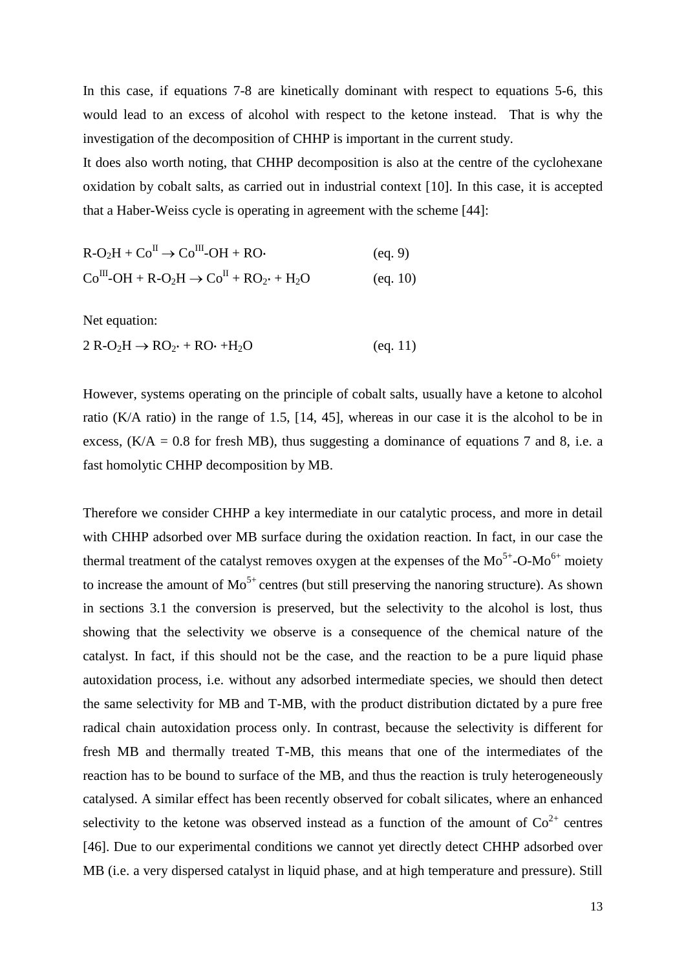In this case, if equations 7-8 are kinetically dominant with respect to equations 5-6, this would lead to an excess of alcohol with respect to the ketone instead. That is why the investigation of the decomposition of CHHP is important in the current study.

It does also worth noting, that CHHP decomposition is also at the centre of the cyclohexane oxidation by cobalt salts, as carried out in industrial context [10]. In this case, it is accepted that a Haber-Weiss cycle is operating in agreement with the scheme [44]:

| $R-O2H + CoII \rightarrow CoIII-OH + RO$                                                                | (eq. 9)  |
|---------------------------------------------------------------------------------------------------------|----------|
| $Co^{III}$ -OH + R-O <sub>2</sub> H $\rightarrow$ Co <sup>II</sup> + RO <sub>2</sub> + H <sub>2</sub> O | (eq. 10) |

Net equation:

 $2 R-O<sub>2</sub>H \rightarrow RO<sub>2</sub> + RO \cdot +H<sub>2</sub>O$  (eq. 11)

However, systems operating on the principle of cobalt salts, usually have a ketone to alcohol ratio (K/A ratio) in the range of 1.5, [14, 45], whereas in our case it is the alcohol to be in excess,  $(K/A = 0.8$  for fresh MB), thus suggesting a dominance of equations 7 and 8, i.e. a fast homolytic CHHP decomposition by MB.

Therefore we consider CHHP a key intermediate in our catalytic process, and more in detail with CHHP adsorbed over MB surface during the oxidation reaction. In fact, in our case the thermal treatment of the catalyst removes oxygen at the expenses of the  $Mo^{5+}-O-Mo^{6+}$  moiety to increase the amount of  $Mo^{5+}$  centres (but still preserving the nanoring structure). As shown in sections 3.1 the conversion is preserved, but the selectivity to the alcohol is lost, thus showing that the selectivity we observe is a consequence of the chemical nature of the catalyst. In fact, if this should not be the case, and the reaction to be a pure liquid phase autoxidation process, i.e. without any adsorbed intermediate species, we should then detect the same selectivity for MB and T-MB, with the product distribution dictated by a pure free radical chain autoxidation process only. In contrast, because the selectivity is different for fresh MB and thermally treated T-MB, this means that one of the intermediates of the reaction has to be bound to surface of the MB, and thus the reaction is truly heterogeneously catalysed. A similar effect has been recently observed for cobalt silicates, where an enhanced selectivity to the ketone was observed instead as a function of the amount of  $Co^{2+}$  centres [46]. Due to our experimental conditions we cannot yet directly detect CHHP adsorbed over MB (i.e. a very dispersed catalyst in liquid phase, and at high temperature and pressure). Still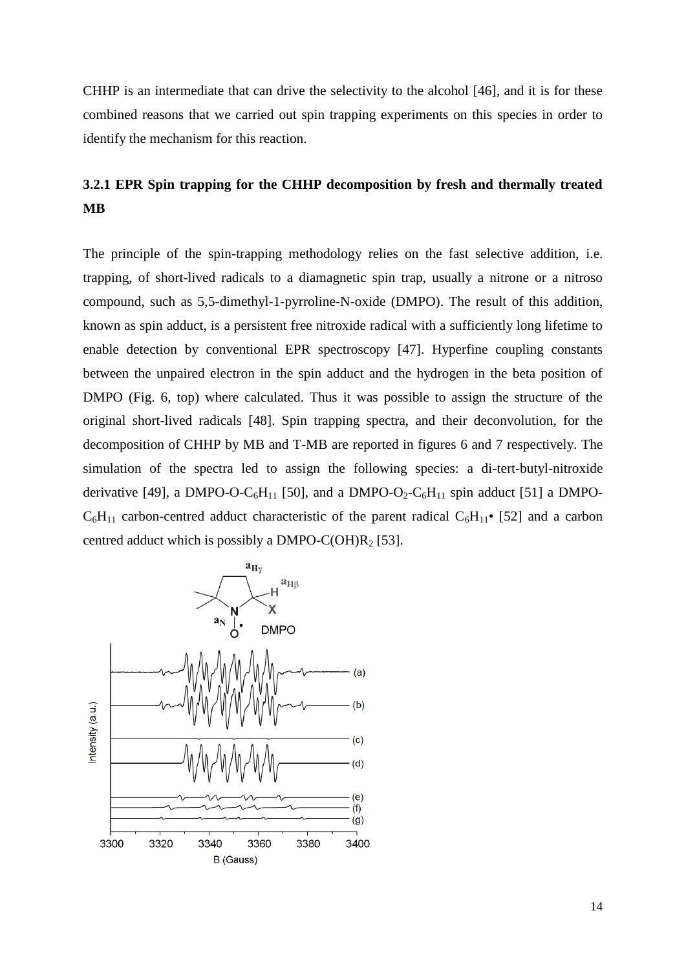CHHP is an intermediate that can drive the selectivity to the alcohol [46], and it is for these combined reasons that we carried out spin trapping experiments on this species in order to identify the mechanism for this reaction.

# **3.2.1 EPR Spin trapping for the CHHP decomposition by fresh and thermally treated MB**

The principle of the spin-trapping methodology relies on the fast selective addition, i.e. trapping, of short-lived radicals to a diamagnetic spin trap, usually a nitrone or a nitroso compound, such as 5,5-dimethyl-1-pyrroline-N-oxide (DMPO). The result of this addition, known as spin adduct, is a persistent free nitroxide radical with a sufficiently long lifetime to enable detection by conventional EPR spectroscopy [47]. Hyperfine coupling constants between the unpaired electron in the spin adduct and the hydrogen in the beta position of DMPO (Fig. 6, top) where calculated. Thus it was possible to assign the structure of the original short-lived radicals [48]. Spin trapping spectra, and their deconvolution, for the decomposition of CHHP by MB and T-MB are reported in figures 6 and 7 respectively. The simulation of the spectra led to assign the following species: a di-tert-butyl-nitroxide derivative [49], a DMPO-O-C<sub>6</sub>H<sub>11</sub> [50], and a DMPO-O<sub>2</sub>-C<sub>6</sub>H<sub>11</sub> spin adduct [51] a DMPO- $C_6H_{11}$  carbon-centred adduct characteristic of the parent radical  $C_6H_{11}$ • [52] and a carbon centred adduct which is possibly a DMPO-C(OH) $R_2$  [53].

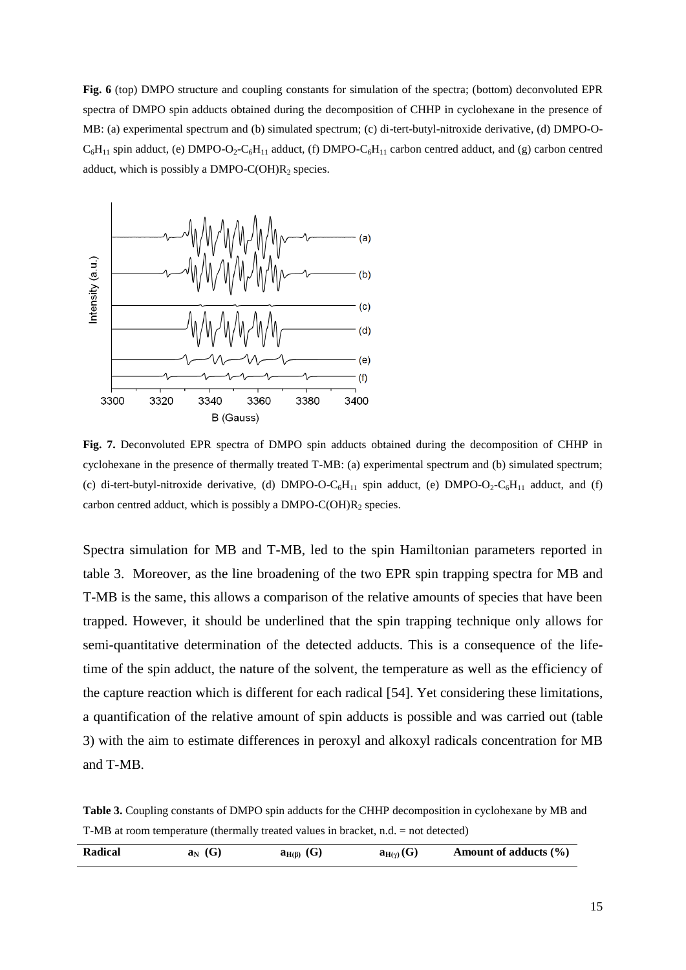**Fig. 6** (top) DMPO structure and coupling constants for simulation of the spectra; (bottom) deconvoluted EPR spectra of DMPO spin adducts obtained during the decomposition of CHHP in cyclohexane in the presence of MB: (a) experimental spectrum and (b) simulated spectrum; (c) di-tert-butyl-nitroxide derivative, (d) DMPO-O- $C_6H_{11}$  spin adduct, (e) DMPO-O<sub>2</sub>-C<sub>6</sub>H<sub>11</sub> adduct, (f) DMPO-C<sub>6</sub>H<sub>11</sub> carbon centred adduct, and (g) carbon centred adduct, which is possibly a DMPO-C(OH) $R_2$  species.



**Fig. 7.** Deconvoluted EPR spectra of DMPO spin adducts obtained during the decomposition of CHHP in cyclohexane in the presence of thermally treated T-MB: (a) experimental spectrum and (b) simulated spectrum; (c) di-tert-butyl-nitroxide derivative, (d) DMPO-O-C<sub>6</sub>H<sub>11</sub> spin adduct, (e) DMPO-O<sub>2</sub>-C<sub>6</sub>H<sub>11</sub> adduct, and (f) carbon centred adduct, which is possibly a DMPO-C(OH) $R_2$  species.

Spectra simulation for MB and T-MB, led to the spin Hamiltonian parameters reported in table 3. Moreover, as the line broadening of the two EPR spin trapping spectra for MB and T-MB is the same, this allows a comparison of the relative amounts of species that have been trapped. However, it should be underlined that the spin trapping technique only allows for semi-quantitative determination of the detected adducts. This is a consequence of the lifetime of the spin adduct, the nature of the solvent, the temperature as well as the efficiency of the capture reaction which is different for each radical [54]. Yet considering these limitations, a quantification of the relative amount of spin adducts is possible and was carried out (table 3) with the aim to estimate differences in peroxyl and alkoxyl radicals concentration for MB and T-MB.

**Table 3.** Coupling constants of DMPO spin adducts for the CHHP decomposition in cyclohexane by MB and T-MB at room temperature (thermally treated values in bracket, n.d. = not detected)

| Radical<br>(G)<br>11 ÷<br>aм<br>$\mathbf{a}_{\mathrm{H}(\beta)}$<br>$d_{H(\gamma)}(U)$ |  |  |  |  | Amount of adducts $(\% )$ |
|----------------------------------------------------------------------------------------|--|--|--|--|---------------------------|
|----------------------------------------------------------------------------------------|--|--|--|--|---------------------------|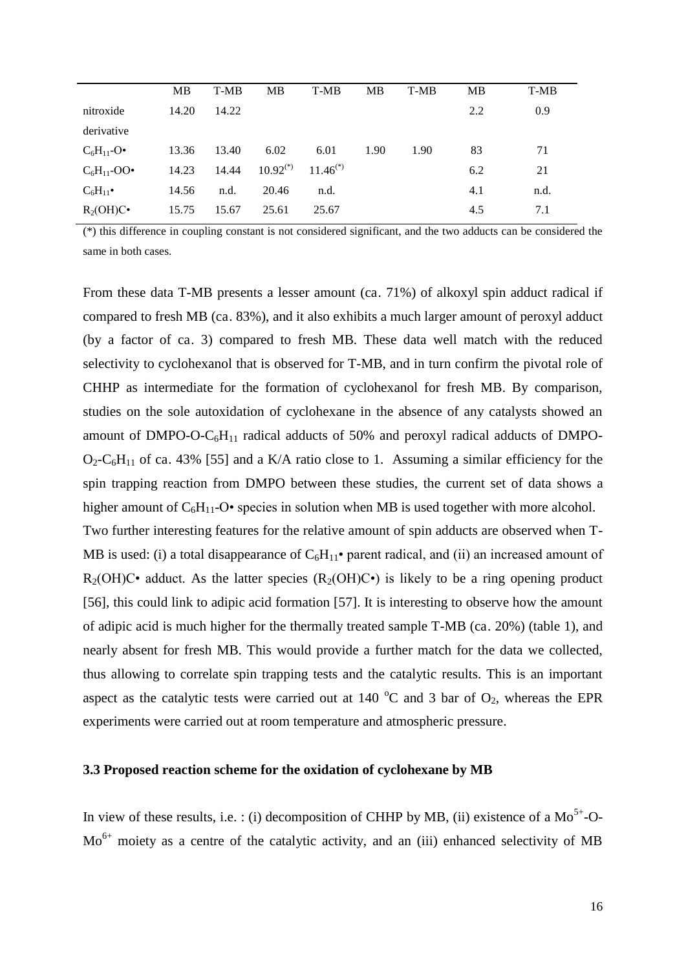|                  | MB    | T-MB  | MB            | T-MB          | MB   | T-MB | <b>MB</b> | T-MB |
|------------------|-------|-------|---------------|---------------|------|------|-----------|------|
| nitroxide        | 14.20 | 14.22 |               |               |      |      | 2.2       | 0.9  |
| derivative       |       |       |               |               |      |      |           |      |
| $C_6H_{11}$ -O•  | 13.36 | 13.40 | 6.02          | 6.01          | 1.90 | 1.90 | 83        | 71   |
| $C_6H_{11}$ -OO• | 14.23 | 14.44 | $10.92^{(*)}$ | $11.46^{(*)}$ |      |      | 6.2       | 21   |
| $C_6H_{11}$      | 14.56 | n.d.  | 20.46         | n.d.          |      |      | 4.1       | n.d. |
| $R_2(OH)C$       | 15.75 | 15.67 | 25.61         | 25.67         |      |      | 4.5       | 7.1  |

(\*) this difference in coupling constant is not considered significant, and the two adducts can be considered the same in both cases.

From these data T-MB presents a lesser amount (ca. 71%) of alkoxyl spin adduct radical if compared to fresh MB (ca. 83%), and it also exhibits a much larger amount of peroxyl adduct (by a factor of ca. 3) compared to fresh MB. These data well match with the reduced selectivity to cyclohexanol that is observed for T-MB, and in turn confirm the pivotal role of CHHP as intermediate for the formation of cyclohexanol for fresh MB. By comparison, studies on the sole autoxidation of cyclohexane in the absence of any catalysts showed an amount of DMPO-O- $C_6H_{11}$  radical adducts of 50% and peroxyl radical adducts of DMPO- $O_2$ -C<sub>6</sub>H<sub>11</sub> of ca. 43% [55] and a K/A ratio close to 1. Assuming a similar efficiency for the spin trapping reaction from DMPO between these studies, the current set of data shows a higher amount of  $C_6H_{11}$ -O• species in solution when MB is used together with more alcohol.

Two further interesting features for the relative amount of spin adducts are observed when T-MB is used: (i) a total disappearance of  $C_6H_{11}$  parent radical, and (ii) an increased amount of  $R_2(OH)C$ • adduct. As the latter species  $(R_2(OH)C)$  is likely to be a ring opening product [56], this could link to adipic acid formation [57]. It is interesting to observe how the amount of adipic acid is much higher for the thermally treated sample T-MB (ca. 20%) (table 1), and nearly absent for fresh MB. This would provide a further match for the data we collected, thus allowing to correlate spin trapping tests and the catalytic results. This is an important aspect as the catalytic tests were carried out at 140  $^{\circ}$ C and 3 bar of O<sub>2</sub>, whereas the EPR experiments were carried out at room temperature and atmospheric pressure.

#### **3.3 Proposed reaction scheme for the oxidation of cyclohexane by MB**

In view of these results, i.e. : (i) decomposition of CHHP by MB, (ii) existence of a  $Mo^{5+}-O$ - $Mo<sup>6+</sup> moiety as a centre of the catalytic activity, and an (iii) enhanced selectivity of MB$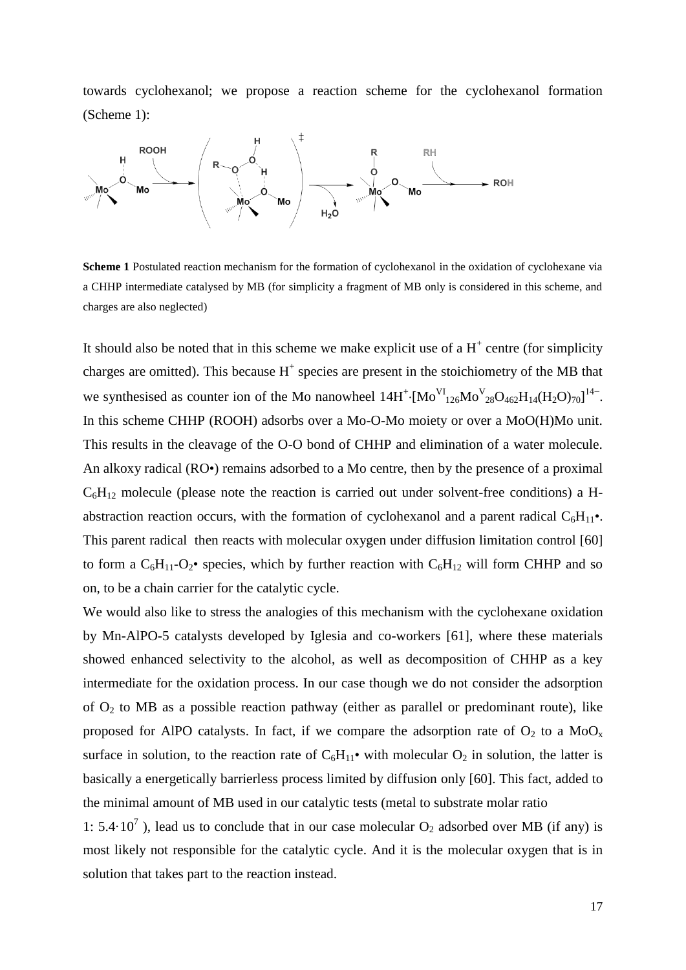towards cyclohexanol; we propose a reaction scheme for the cyclohexanol formation (Scheme 1):



**Scheme 1** Postulated reaction mechanism for the formation of cyclohexanol in the oxidation of cyclohexane via a CHHP intermediate catalysed by MB (for simplicity a fragment of MB only is considered in this scheme, and charges are also neglected)

It should also be noted that in this scheme we make explicit use of a  $H^+$  centre (for simplicity charges are omitted). This because  $H^+$  species are present in the stoichiometry of the MB that we synthesised as counter ion of the Mo nanowheel  $14H^+$ ·[Mo<sup>V</sup><sub>126</sub>Mo<sup>V</sup><sub>28</sub>O<sub>462</sub>H<sub>14</sub>(H<sub>2</sub>O)<sub>70</sub>]<sup>14-</sup>. In this scheme CHHP (ROOH) adsorbs over a Mo-O-Mo moiety or over a MoO(H)Mo unit. This results in the cleavage of the O-O bond of CHHP and elimination of a water molecule. An alkoxy radical (RO•) remains adsorbed to a Mo centre, then by the presence of a proximal  $C_6H_{12}$  molecule (please note the reaction is carried out under solvent-free conditions) a Habstraction reaction occurs, with the formation of cyclohexanol and a parent radical  $C_6H_{11}$ . This parent radical then reacts with molecular oxygen under diffusion limitation control [60] to form a  $C_6H_{11}-O_2$ • species, which by further reaction with  $C_6H_{12}$  will form CHHP and so on, to be a chain carrier for the catalytic cycle.

We would also like to stress the analogies of this mechanism with the cyclohexane oxidation by Mn-AlPO-5 catalysts developed by Iglesia and co-workers [61], where these materials showed enhanced selectivity to the alcohol, as well as decomposition of CHHP as a key intermediate for the oxidation process. In our case though we do not consider the adsorption of  $O_2$  to MB as a possible reaction pathway (either as parallel or predominant route), like proposed for AlPO catalysts. In fact, if we compare the adsorption rate of  $O_2$  to a  $MoO<sub>x</sub>$ surface in solution, to the reaction rate of  $C_6H_{11}$ • with molecular  $O_2$  in solution, the latter is basically a energetically barrierless process limited by diffusion only [60]. This fact, added to the minimal amount of MB used in our catalytic tests (metal to substrate molar ratio

1: 5.4 $\cdot$ 10<sup>7</sup>), lead us to conclude that in our case molecular  $O_2$  adsorbed over MB (if any) is most likely not responsible for the catalytic cycle. And it is the molecular oxygen that is in solution that takes part to the reaction instead.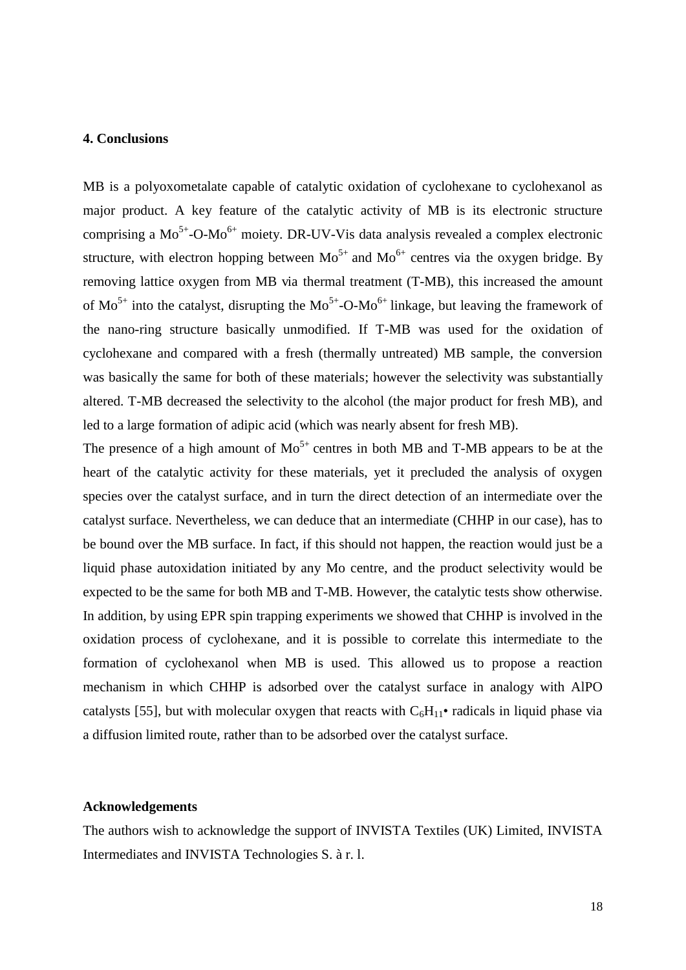#### **4. Conclusions**

MB is a polyoxometalate capable of catalytic oxidation of cyclohexane to cyclohexanol as major product. A key feature of the catalytic activity of MB is its electronic structure comprising a  $Mo^{5+}$ -O-M $o^{6+}$  moiety. DR-UV-Vis data analysis revealed a complex electronic structure, with electron hopping between  $Mo^{5+}$  and  $Mo^{6+}$  centres via the oxygen bridge. By removing lattice oxygen from MB via thermal treatment (T-MB), this increased the amount of  $Mo^{5+}$  into the catalyst, disrupting the  $Mo^{5+}$ -O-Mo<sup>6+</sup> linkage, but leaving the framework of the nano-ring structure basically unmodified. If T-MB was used for the oxidation of cyclohexane and compared with a fresh (thermally untreated) MB sample, the conversion was basically the same for both of these materials; however the selectivity was substantially altered. T-MB decreased the selectivity to the alcohol (the major product for fresh MB), and led to a large formation of adipic acid (which was nearly absent for fresh MB).

The presence of a high amount of  $Mo^{5+}$  centres in both MB and T-MB appears to be at the heart of the catalytic activity for these materials, yet it precluded the analysis of oxygen species over the catalyst surface, and in turn the direct detection of an intermediate over the catalyst surface. Nevertheless, we can deduce that an intermediate (CHHP in our case), has to be bound over the MB surface. In fact, if this should not happen, the reaction would just be a liquid phase autoxidation initiated by any Mo centre, and the product selectivity would be expected to be the same for both MB and T-MB. However, the catalytic tests show otherwise. In addition, by using EPR spin trapping experiments we showed that CHHP is involved in the oxidation process of cyclohexane, and it is possible to correlate this intermediate to the formation of cyclohexanol when MB is used. This allowed us to propose a reaction mechanism in which CHHP is adsorbed over the catalyst surface in analogy with AlPO catalysts [55], but with molecular oxygen that reacts with  $C_6H_{11}$  radicals in liquid phase via a diffusion limited route, rather than to be adsorbed over the catalyst surface.

#### **Acknowledgements**

The authors wish to acknowledge the support of INVISTA Textiles (UK) Limited, INVISTA Intermediates and INVISTA Technologies S. à r. l.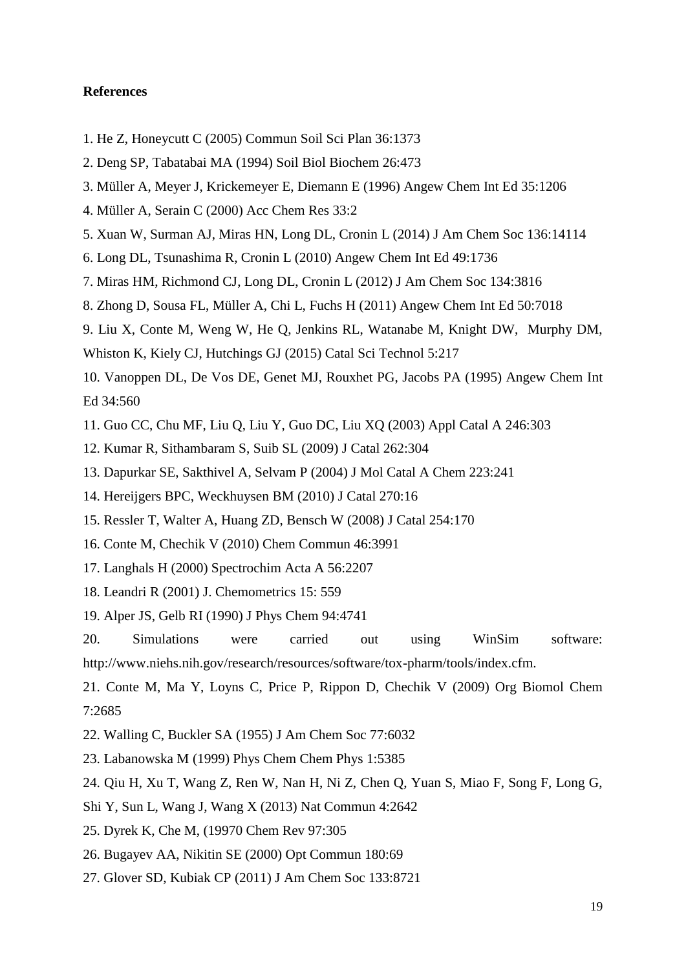# **References**

- 1. He Z, Honeycutt C (2005) Commun Soil Sci Plan 36:1373
- 2. Deng SP, Tabatabai MA (1994) Soil Biol Biochem 26:473
- 3. Müller A, Meyer J, Krickemeyer E, Diemann E (1996) Angew Chem Int Ed 35:1206
- 4. Müller A, Serain C (2000) Acc Chem Res 33:2
- 5. Xuan W, Surman AJ, Miras HN, Long DL, Cronin L (2014) J Am Chem Soc 136:14114
- 6. Long DL, Tsunashima R, Cronin L (2010) Angew Chem Int Ed 49:1736
- 7. Miras HM, Richmond CJ, Long DL, Cronin L (2012) J Am Chem Soc 134:3816
- 8. Zhong D, Sousa FL, Müller A, Chi L, Fuchs H (2011) Angew Chem Int Ed 50:7018
- 9. Liu X, Conte M, Weng W, He Q, Jenkins RL, Watanabe M, Knight DW, Murphy DM,
- Whiston K, Kiely CJ, Hutchings GJ (2015) Catal Sci Technol 5:217
- 10. Vanoppen DL, De Vos DE, Genet MJ, Rouxhet PG, Jacobs PA (1995) Angew Chem Int Ed 34:560
- 11. Guo CC, Chu MF, Liu Q, Liu Y, Guo DC, Liu XQ (2003) Appl Catal A 246:303
- 12. Kumar R, Sithambaram S, Suib SL (2009) J Catal 262:304
- 13. Dapurkar SE, Sakthivel A, Selvam P (2004) J Mol Catal A Chem 223:241
- 14. Hereijgers BPC, Weckhuysen BM (2010) J Catal 270:16
- 15. Ressler T, Walter A, Huang ZD, Bensch W (2008) J Catal 254:170
- 16. Conte M, Chechik V (2010) Chem Commun 46:3991
- 17. Langhals H (2000) Spectrochim Acta A 56:2207
- 18. Leandri R (2001) J. Chemometrics 15: 559
- 19. Alper JS, Gelb RI (1990) J Phys Chem 94:4741

20. Simulations were carried out using WinSim software: http://www.niehs.nih.gov/research/resources/software/tox-pharm/tools/index.cfm.

21. Conte M, Ma Y, Loyns C, Price P, Rippon D, Chechik V (2009) Org Biomol Chem 7:2685

- 22. Walling C, Buckler SA (1955) J Am Chem Soc 77:6032
- 23. Labanowska M (1999) Phys Chem Chem Phys 1:5385
- 24. Qiu H, Xu T, Wang Z, Ren W, Nan H, Ni Z, Chen Q, Yuan S, Miao F, Song F, Long G,
- Shi Y, Sun L, Wang J, Wang X (2013) Nat Commun 4:2642
- 25. Dyrek K, Che M, (19970 Chem Rev 97:305
- 26. Bugayev AA, Nikitin SE (2000) Opt Commun 180:69
- 27. Glover SD, Kubiak CP (2011) J Am Chem Soc 133:8721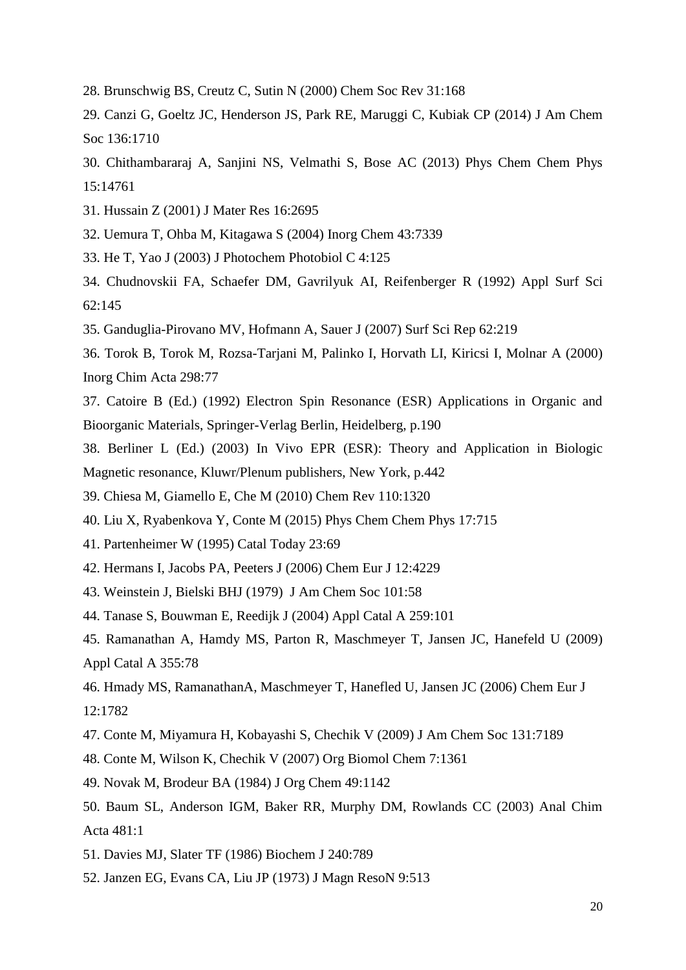- 28. Brunschwig BS, Creutz C, Sutin N (2000) Chem Soc Rev 31:168
- 29. Canzi G, Goeltz JC, Henderson JS, Park RE, Maruggi C, Kubiak CP (2014) J Am Chem Soc 136:1710
- 30. Chithambararaj A, Sanjini NS, Velmathi S, Bose AC (2013) Phys Chem Chem Phys 15:14761
- 31. Hussain Z (2001) J Mater Res 16:2695
- 32. Uemura T, Ohba M, Kitagawa S (2004) Inorg Chem 43:7339
- 33. He T, Yao J (2003) J Photochem Photobiol C 4:125
- 34. Chudnovskii FA, Schaefer DM, Gavrilyuk AI, Reifenberger R (1992) Appl Surf Sci 62:145
- 35. Ganduglia-Pirovano MV, Hofmann A, Sauer J (2007) Surf Sci Rep 62:219
- 36. Torok B, Torok M, Rozsa-Tarjani M, Palinko I, Horvath LI, Kiricsi I, Molnar A (2000) Inorg Chim Acta 298:77
- 37. Catoire B (Ed.) (1992) Electron Spin Resonance (ESR) Applications in Organic and Bioorganic Materials, Springer-Verlag Berlin, Heidelberg, p.190
- 38. Berliner L (Ed.) (2003) In Vivo EPR (ESR): Theory and Application in Biologic Magnetic resonance, Kluwr/Plenum publishers, New York, p.442
- 39. Chiesa M, Giamello E, Che M (2010) Chem Rev 110:1320
- 40. Liu X, Ryabenkova Y, Conte M (2015) Phys Chem Chem Phys 17:715
- 41. Partenheimer W (1995) Catal Today 23:69
- 42. Hermans I, Jacobs PA, Peeters J (2006) Chem Eur J 12:4229
- 43. Weinstein J, Bielski BHJ (1979) J Am Chem Soc 101:58
- 44. Tanase S, Bouwman E, Reedijk J (2004) Appl Catal A 259:101
- 45. Ramanathan A, Hamdy MS, Parton R, Maschmeyer T, Jansen JC, Hanefeld U (2009) Appl Catal A 355:78
- 46. Hmady MS, RamanathanA, Maschmeyer T, Hanefled U, Jansen JC (2006) Chem Eur J 12:1782
- 47. Conte M, Miyamura H, Kobayashi S, Chechik V (2009) J Am Chem Soc 131:7189
- 48. Conte M, Wilson K, Chechik V (2007) Org Biomol Chem 7:1361
- 49. Novak M, Brodeur BA (1984) J Org Chem 49:1142
- 50. Baum SL, Anderson IGM, Baker RR, Murphy DM, Rowlands CC (2003) Anal Chim Acta 481:1
- 51. Davies MJ, Slater TF (1986) Biochem J 240:789
- 52. Janzen EG, Evans CA, Liu JP (1973) J Magn ResoN 9:513